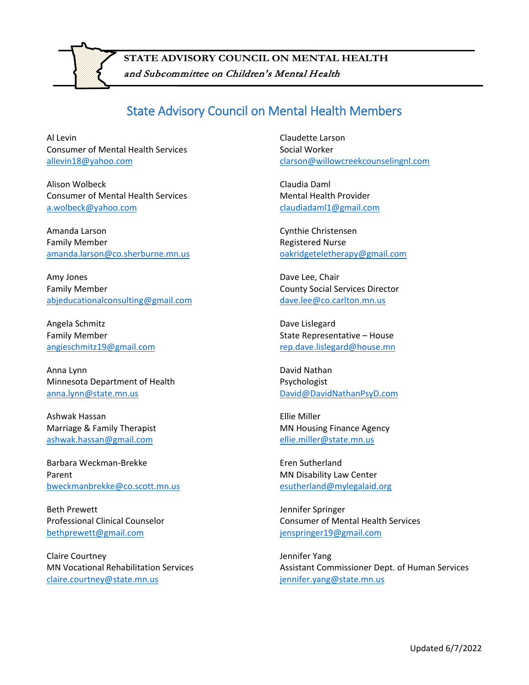

and Subcommittee on Children's Mental Health **STATE ADVISORY COUNCIL ON MENTAL HEALTH**

## State Advisory Council on Mental Health Members

Al Levin Consumer of Mental Health Services [allevin18@yahoo.com](mailto:allevin18@yahoo.com)

Alison Wolbeck Consumer of Mental Health Services [a.wolbeck@yahoo.com](mailto:a.wolbeck@yahoo.com)

Amanda Larson Family Member [amanda.larson@co.sherburne.mn.us](mailto:amanda.larson@co.sherburne.mn.us)

Amy Jones Family Member [abjeducationalconsulting@gmail.com](mailto:abjeducationalconsulting@gmail.com)

Angela Schmitz Family Member [angieschmitz19@gmail.com](mailto:angieschmitz19@gmail.com)

Anna Lynn Minnesota Department of Health [anna.lynn@state.mn.us](mailto:anna.lynn@state.mn.us) 

Ashwak Hassan Marriage & Family Therapist [ashwak.hassan@gmail.com](mailto:ashwak.hassan@gmail.com)

Barbara Weckman-Brekke Parent [bweckmanbrekke@co.scott.mn.us](mailto:bweckmanbrekke@co.scott.mn.us)

Beth Prewett Professional Clinical Counselor [bethprewett@gmail.com](mailto:bethprewett@gmail.com)

Claire Courtney MN Vocational Rehabilitation Services [claire.courtney@state.mn.us](mailto:claire.courtney@state.mn.us)

Claudette Larson Social Worker [clarson@willowcreekcounselingnl.com](mailto:clarson@willowcreekcounselingnl.com)

Claudia Daml Mental Health Provider [claudiadaml1@gmail.com](mailto:claudiadaml1@gmail.com)

Cynthie Christensen Registered Nurse [oakridgeteletherapy@gmail.com](mailto:oakridgeteletherapy@gmail.com)

Dave Lee, Chair County Social Services Director [dave.lee@co.carlton.mn.us](mailto:dave.lee@co.carlton.mn.us)

Dave Lislegard State Representative – House [rep.dave.lislegard@house.mn](mailto:rep.dave.lislegard@house.mn)

David Nathan Psychologist [David@DavidNathanPsyD.com](mailto:David@DavidNathanPsyD.com)

Ellie Miller MN Housing Finance Agency [ellie.miller@state.mn.us](mailto:ellie.miller@state.mn.us)

Eren Sutherland MN Disability Law Center [esutherland@mylegalaid.org](mailto:esutherland@mylegalaid.org)

Jennifer Springer Consumer of Mental Health Services [jenspringer19@gmail.com](mailto:jenspringer19@gmail.com)

Jennifer Yang Assistant Commissioner Dept. of Human Services [jennifer.yang@state.mn.us](mailto:jennifer.yang@state.mn.us)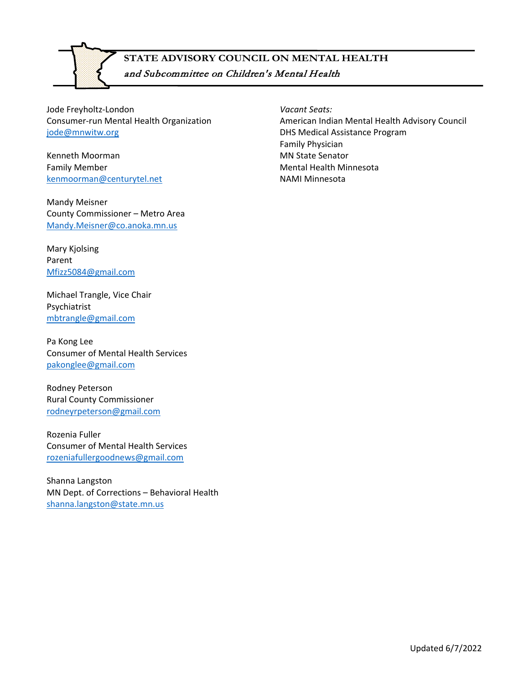

## and Subcommittee on Children's Mental Health **STATE ADVISORY COUNCIL ON MENTAL HEALTH**

Jode Freyholtz-London Consumer-run Mental Health Organization [jode@mnwitw.org](mailto:jode@mnwitw.org)

Kenneth Moorman Family Member [kenmoorman@centurytel.net](mailto:kenmoorman@centurytel.net)

Mandy Meisner County Commissioner – Metro Area [Mandy.Meisner@co.anoka.mn.us](mailto:Mandy.Meisner@co.anoka.mn.us)

Mary Kjolsing Parent [Mfizz5084@gmail.com](mailto:Mfizz5084@gmail.com)

Michael Trangle, Vice Chair Psychiatrist [mbtrangle@gmail.com](mailto:mbtrangle@gmail.com)

Pa Kong Lee Consumer of Mental Health Services [pakonglee@gmail.com](mailto:pakonglee@gmail.com)

Rodney Peterson Rural County Commissioner [rodneyrpeterson@gmail.com](mailto:rodneyrpeterson@gmail.com)

Rozenia Fuller Consumer of Mental Health Services [rozeniafullergoodnews@gmail.com](mailto:rozeniafullergoodnews@gmail.com)

Shanna Langston MN Dept. of Corrections – Behavioral Health [shanna.langston@state.mn.us](mailto:shanna.langston@state.mn.us)

*Vacant Seats:* American Indian Mental Health Advisory Council DHS Medical Assistance Program Family Physician MN State Senator Mental Health Minnesota NAMI Minnesota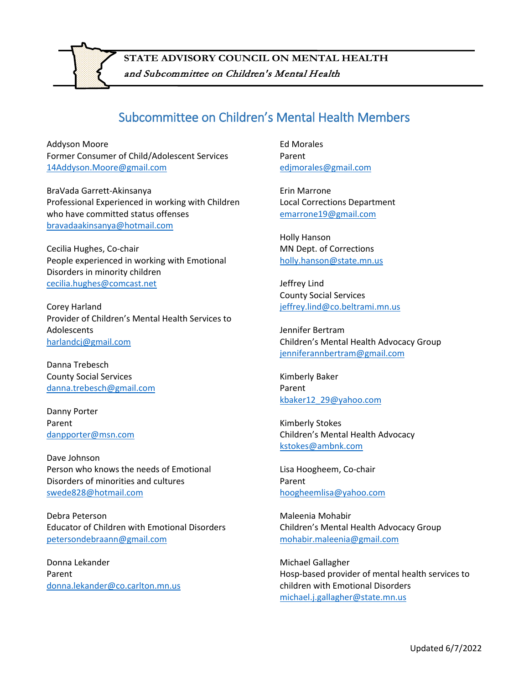

## Subcommittee on Children's Mental Health Members

Addyson Moore Former Consumer of Child/Adolescent Services [14Addyson.Moore@gmail.com](mailto:14Addyson.Moore@gmail.com)

BraVada Garrett-Akinsanya Professional Experienced in working with Children who have committed status offenses [bravadaakinsanya@hotmail.com](mailto:bravadaakinsanya@hotmail.com)

Cecilia Hughes, Co-chair People experienced in working with Emotional Disorders in minority children [cecilia.hughes@comcast.net](mailto:cecilia.hughes@comcast.net)

Corey Harland Provider of Children's Mental Health Services to Adolescents [harlandcj@gmail.com](mailto:harlandcj@gmail.com)

Danna Trebesch County Social Services [danna.trebesch@gmail.com](mailto:danna.trebesch@gmail.com)

Danny Porter Parent [danpporter@msn.com](mailto:danpporter@msn.com)

Dave Johnson Person who knows the needs of Emotional Disorders of minorities and cultures [swede828@hotmail.com](mailto:swede828@hotmail.com)

Debra Peterson Educator of Children with Emotional Disorders [petersondebraann@gmail.com](mailto:petersondebraann@gmail.com)

Donna Lekander Parent [donna.lekander@co.carlton.mn.us](mailto:donna.lekander@co.carlton.mn.us) Ed Morales Parent [edjmorales@gmail.com](mailto:edjmorales@gmail.com)

Erin Marrone Local Corrections Department [emarrone19@gmail.com](mailto:emarrone19@gmail.com)

Holly Hanson MN Dept. of Corrections [holly.hanson@state.mn.us](mailto:holly.hanson@state.mn.us)

Jeffrey Lind County Social Services [jeffrey.lind@co.beltrami.mn.us](mailto:jeffrey.lind@co.beltrami.mn.us)

Jennifer Bertram Children's Mental Health Advocacy Group [jenniferannbertram@gmail.com](mailto:jenniferannbertram@gmail.com)

Kimberly Baker Parent [kbaker12\\_29@yahoo.com](mailto:kbaker12_29@yahoo.com)

Kimberly Stokes Children's Mental Health Advocacy [kstokes@ambnk.com](mailto:kstokes@ambnk.com)

Lisa Hoogheem, Co-chair Parent [hoogheemlisa@yahoo.com](mailto:hoogheemlisa@yahoo.com)

Maleenia Mohabir Children's Mental Health Advocacy Group [mohabir.maleenia@gmail.com](mailto:mohabir.maleenia@gmail.com)

Michael Gallagher Hosp-based provider of mental health services to children with Emotional Disorders [michael.j.gallagher@state.mn.us](mailto:michael.j.gallagher@state.mn.us)